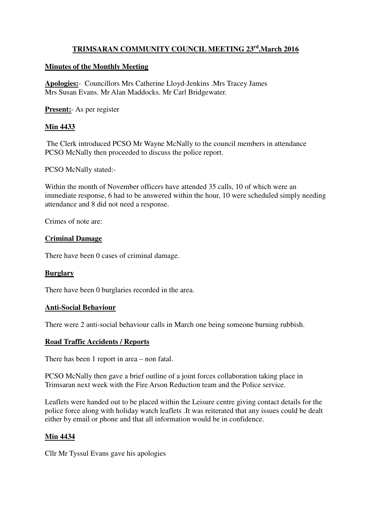# **TRIMSARAN COMMUNITY COUNCIL MEETING 23rd.March 2016**

## **Minutes of the Monthly Meeting**

**Apologies:**- Councillors Mrs Catherine Lloyd-Jenkins .Mrs Tracey James Mrs Susan Evans. Mr Alan Maddocks. Mr Carl Bridgewater.

**Present:**- As per register

# **Min 4433**

 The Clerk introduced PCSO Mr Wayne McNally to the council members in attendance PCSO McNally then proceeded to discuss the police report.

PCSO McNally stated:-

Within the month of November officers have attended 35 calls, 10 of which were an immediate response, 6 had to be answered within the hour, 10 were scheduled simply needing attendance and 8 did not need a response.

Crimes of note are:

## **Criminal Damage**

There have been 0 cases of criminal damage.

## **Burglary**

There have been 0 burglaries recorded in the area.

#### **Anti-Social Behaviour**

There were 2 anti-social behaviour calls in March one being someone burning rubbish.

#### **Road Traffic Accidents / Reports**

There has been 1 report in area – non fatal.

PCSO McNally then gave a brief outline of a joint forces collaboration taking place in Trimsaran next week with the Fire Arson Reduction team and the Police service.

Leaflets were handed out to be placed within the Leisure centre giving contact details for the police force along with holiday watch leaflets .It was reiterated that any issues could be dealt either by email or phone and that all information would be in confidence.

#### **Min 4434**

Cllr Mr Tyssul Evans gave his apologies